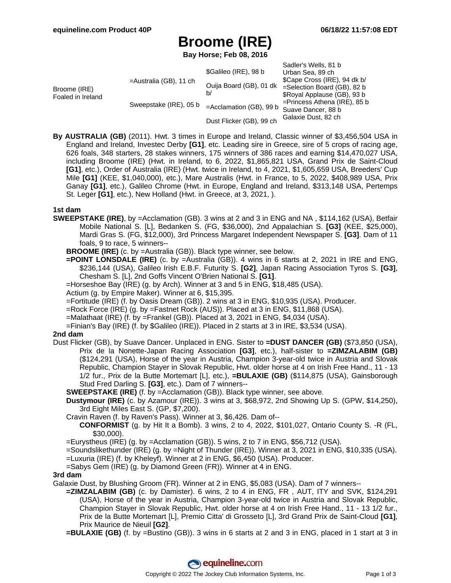# **Broome (IRE)**

**Bay Horse; Feb 08, 2016**

|                                   |                           | \$Galileo (IRE), 98 b         | Sadler's Wells, 81 b<br>Urban Sea, 89 ch                                                                                                                                      |
|-----------------------------------|---------------------------|-------------------------------|-------------------------------------------------------------------------------------------------------------------------------------------------------------------------------|
| Broome (IRE)<br>Foaled in Ireland | $=$ Australia (GB), 11 ch | Ouija Board (GB), 01 dk<br>b/ | \$Cape Cross (IRE), 94 dk b/<br>$=$ Selection Board (GB), 82 b<br>\$Royal Applause (GB), 93 b<br>$=$ Princess Athena (IRE), 85 b<br>Suave Dancer, 88 b<br>Galaxie Dust, 82 ch |
|                                   | Sweepstake (IRE), 05 b    | $=$ Acclamation (GB), 99 b    |                                                                                                                                                                               |
|                                   |                           | Dust Flicker (GB), 99 ch      |                                                                                                                                                                               |

**By AUSTRALIA (GB)** (2011). Hwt. 3 times in Europe and Ireland, Classic winner of \$3,456,504 USA in England and Ireland, Investec Derby **[G1]**, etc. Leading sire in Greece, sire of 5 crops of racing age, 626 foals, 348 starters, 28 stakes winners, 175 winners of 386 races and earning \$14,470,027 USA, including Broome (IRE) (Hwt. in Ireland, to 6, 2022, \$1,865,821 USA, Grand Prix de Saint-Cloud **[G1]**, etc.), Order of Australia (IRE) (Hwt. twice in Ireland, to 4, 2021, \$1,605,659 USA, Breeders' Cup Mile **[G1]** (KEE, \$1,040,000), etc.), Mare Australis (Hwt. in France, to 5, 2022, \$408,989 USA, Prix Ganay **[G1]**, etc.), Galileo Chrome (Hwt. in Europe, England and Ireland, \$313,148 USA, Pertemps St. Leger **[G1]**, etc.), New Holland (Hwt. in Greece, at 3, 2021, ).

#### **1st dam**

**SWEEPSTAKE (IRE)**, by =Acclamation (GB). 3 wins at 2 and 3 in ENG and NA , \$114,162 (USA), Betfair Mobile National S. [L], Bedanken S. (FG, \$36,000), 2nd Appalachian S. **[G3]** (KEE, \$25,000), Mardi Gras S. (FG, \$12,000), 3rd Princess Margaret Independent Newspaper S. **[G3]**. Dam of 11 foals, 9 to race, 5 winners--

**BROOME (IRE)** (c. by =Australia (GB)). Black type winner, see below.

- **=POINT LONSDALE (IRE)** (c. by =Australia (GB)). 4 wins in 6 starts at 2, 2021 in IRE and ENG, \$236,144 (USA), Galileo Irish E.B.F. Futurity S. **[G2]**, Japan Racing Association Tyros S. **[G3]**, Chesham S. [L], 2nd Goffs Vincent O'Brien National S. **[G1]**.
- =Horseshoe Bay (IRE) (g. by Arch). Winner at 3 and 5 in ENG, \$18,485 (USA).
- Actium (g. by Empire Maker). Winner at 6, \$15,395.
- =Fortitude (IRE) (f. by Oasis Dream (GB)). 2 wins at 3 in ENG, \$10,935 (USA). Producer.
- =Rock Force (IRE) (g. by =Fastnet Rock (AUS)). Placed at 3 in ENG, \$11,868 (USA).
- =Malathaat (IRE) (f. by =Frankel (GB)). Placed at 3, 2021 in ENG, \$4,034 (USA).
- =Finian's Bay (IRE) (f. by \$Galileo (IRE)). Placed in 2 starts at 3 in IRE, \$3,534 (USA).

#### **2nd dam**

- Dust Flicker (GB), by Suave Dancer. Unplaced in ENG. Sister to **=DUST DANCER (GB)** (\$73,850 (USA), Prix de la Nonette-Japan Racing Association **[G3]**, etc.), half-sister to **=ZIMZALABIM (GB)** (\$124,291 (USA), Horse of the year in Austria, Champion 3-year-old twice in Austria and Slovak Republic, Champion Stayer in Slovak Republic, Hwt. older horse at 4 on Irish Free Hand., 11 - 13 1/2 fur., Prix de la Butte Mortemart [L], etc.), **=BULAXIE (GB)** (\$114,875 (USA), Gainsborough Stud Fred Darling S. **[G3]**, etc.). Dam of 7 winners--
	- **SWEEPSTAKE (IRE)** (f. by =Acclamation (GB)). Black type winner, see above.
	- **Dustymour (IRE)** (c. by Azamour (IRE)). 3 wins at 3, \$68,972, 2nd Showing Up S. (GPW, \$14,250), 3rd Eight Miles East S. (GP, \$7,200).
	- Cravin Raven (f. by Raven's Pass). Winner at 3, \$6,426. Dam of--
		- **CONFORMIST** (g. by Hit It a Bomb). 3 wins, 2 to 4, 2022, \$101,027, Ontario County S. -R (FL, \$30,000).
	- =Eurystheus (IRE) (g. by =Acclamation (GB)). 5 wins, 2 to 7 in ENG, \$56,712 (USA).
	- =Soundslikethunder (IRE) (g. by =Night of Thunder (IRE)). Winner at 3, 2021 in ENG, \$10,335 (USA).
	- =Luxuria (IRE) (f. by Kheleyf). Winner at 2 in ENG, \$6,450 (USA). Producer.
	- =Sabys Gem (IRE) (g. by Diamond Green (FR)). Winner at 4 in ENG.

#### **3rd dam**

Galaxie Dust, by Blushing Groom (FR). Winner at 2 in ENG, \$5,083 (USA). Dam of 7 winners--

- **=ZIMZALABIM (GB)** (c. by Damister). 6 wins, 2 to 4 in ENG, FR , AUT, ITY and SVK, \$124,291 (USA), Horse of the year in Austria, Champion 3-year-old twice in Austria and Slovak Republic, Champion Stayer in Slovak Republic, Hwt. older horse at 4 on Irish Free Hand., 11 - 13 1/2 fur., Prix de la Butte Mortemart [L], Premio Citta' di Grosseto [L], 3rd Grand Prix de Saint-Cloud **[G1]**, Prix Maurice de Nieuil **[G2]**.
- **=BULAXIE (GB)** (f. by =Bustino (GB)). 3 wins in 6 starts at 2 and 3 in ENG, placed in 1 start at 3 in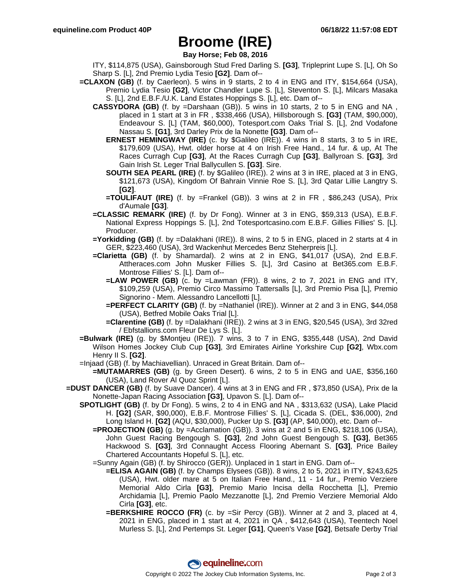### **Broome (IRE)**

**Bay Horse; Feb 08, 2016**

- ITY, \$114,875 (USA), Gainsborough Stud Fred Darling S. **[G3]**, Tripleprint Lupe S. [L], Oh So Sharp S. [L], 2nd Premio Lydia Tesio **[G2]**. Dam of--
- **=CLAXON (GB)** (f. by Caerleon). 5 wins in 9 starts, 2 to 4 in ENG and ITY, \$154,664 (USA), Premio Lydia Tesio **[G2]**, Victor Chandler Lupe S. [L], Steventon S. [L], Milcars Masaka S. [L], 2nd E.B.F./U.K. Land Estates Hoppings S. [L], etc. Dam of--
	- **CASSYDORA (GB)** (f. by =Darshaan (GB)). 5 wins in 10 starts, 2 to 5 in ENG and NA , placed in 1 start at 3 in FR , \$338,466 (USA), Hillsborough S. **[G3]** (TAM, \$90,000), Endeavour S. [L] (TAM, \$60,000), Totesport.com Oaks Trial S. [L], 2nd Vodafone Nassau S. **[G1]**, 3rd Darley Prix de la Nonette **[G3]**. Dam of--
		- **ERNEST HEMINGWAY (IRE)** (c. by \$Galileo (IRE)). 4 wins in 8 starts, 3 to 5 in IRE, \$179,609 (USA), Hwt. older horse at 4 on Irish Free Hand., 14 fur. & up, At The Races Curragh Cup **[G3]**, At the Races Curragh Cup **[G3]**, Ballyroan S. **[G3]**, 3rd Gain Irish St. Leger Trial Ballycullen S. **[G3]**. Sire.
		- **SOUTH SEA PEARL (IRE)** (f. by \$Galileo (IRE)). 2 wins at 3 in IRE, placed at 3 in ENG, \$121,673 (USA), Kingdom Of Bahrain Vinnie Roe S. [L], 3rd Qatar Lillie Langtry S. **[G2]**.
		- **=TOULIFAUT (IRE)** (f. by =Frankel (GB)). 3 wins at 2 in FR , \$86,243 (USA), Prix d'Aumale **[G3]**.
	- **=CLASSIC REMARK (IRE)** (f. by Dr Fong). Winner at 3 in ENG, \$59,313 (USA), E.B.F. National Express Hoppings S. [L], 2nd Totesportcasino.com E.B.F. Gillies Fillies' S. [L]. Producer.
	- **=Yorkidding (GB)** (f. by =Dalakhani (IRE)). 8 wins, 2 to 5 in ENG, placed in 2 starts at 4 in GER, \$223,460 (USA), 3rd Wackenhut Mercedes Benz Steherpreis [L].
	- **=Clarietta (GB)** (f. by Shamardal). 2 wins at 2 in ENG, \$41,017 (USA), 2nd E.B.F. Attheraces.com John Musker Fillies S. [L], 3rd Casino at Bet365.com E.B.F. Montrose Fillies' S. [L]. Dam of--
		- **=LAW POWER (GB)** (c. by =Lawman (FR)). 8 wins, 2 to 7, 2021 in ENG and ITY, \$109,259 (USA), Premio Circo Massimo Tattersalls [L], 3rd Premio Pisa [L], Premio Signorino - Mem. Alessandro Lancellotti [L].
		- **=PERFECT CLARITY (GB)** (f. by =Nathaniel (IRE)). Winner at 2 and 3 in ENG, \$44,058 (USA), Betfred Mobile Oaks Trial [L].
		- **=Clarentine (GB)** (f. by =Dalakhani (IRE)). 2 wins at 3 in ENG, \$20,545 (USA), 3rd 32red / Ebfstallions.com Fleur De Lys S. [L].
- **=Bulwark (IRE)** (g. by \$Montjeu (IRE)). 7 wins, 3 to 7 in ENG, \$355,448 (USA), 2nd David Wilson Homes Jockey Club Cup **[G3]**, 3rd Emirates Airline Yorkshire Cup **[G2]**, Wbx.com Henry II S. **[G2]**.
- =Injaad (GB) (f. by Machiavellian). Unraced in Great Britain. Dam of--
	- **=MUTAMARRES (GB)** (g. by Green Desert). 6 wins, 2 to 5 in ENG and UAE, \$356,160 (USA), Land Rover Al Quoz Sprint [L].
- **=DUST DANCER (GB)** (f. by Suave Dancer). 4 wins at 3 in ENG and FR , \$73,850 (USA), Prix de la Nonette-Japan Racing Association **[G3]**, Upavon S. [L]. Dam of--
	- **SPOTLIGHT (GB)** (f. by Dr Fong). 5 wins, 2 to 4 in ENG and NA , \$313,632 (USA), Lake Placid H. **[G2]** (SAR, \$90,000), E.B.F. Montrose Fillies' S. [L], Cicada S. (DEL, \$36,000), 2nd Long Island H. **[G2]** (AQU, \$30,000), Pucker Up S. **[G3]** (AP, \$40,000), etc. Dam of--
		- **=PROJECTION (GB)** (g. by =Acclamation (GB)). 3 wins at 2 and 5 in ENG, \$218,106 (USA), John Guest Racing Bengough S. **[G3]**, 2nd John Guest Bengough S. **[G3]**, Bet365 Hackwood S. **[G3]**, 3rd Connaught Access Flooring Abernant S. **[G3]**, Price Bailey Chartered Accountants Hopeful S. [L], etc.
		- =Sunny Again (GB) (f. by Shirocco (GER)). Unplaced in 1 start in ENG. Dam of--
			- **=ELISA AGAIN (GB)** (f. by Champs Elysees (GB)). 8 wins, 2 to 5, 2021 in ITY, \$243,625 (USA), Hwt. older mare at 5 on Italian Free Hand., 11 - 14 fur., Premio Verziere Memorial Aldo Cirla **[G3]**, Premio Mario Incisa della Rocchetta [L], Premio Archidamia [L], Premio Paolo Mezzanotte [L], 2nd Premio Verziere Memorial Aldo Cirla **[G3]**, etc.
			- **=BERKSHIRE ROCCO (FR)** (c. by =Sir Percy (GB)). Winner at 2 and 3, placed at 4, 2021 in ENG, placed in 1 start at 4, 2021 in QA , \$412,643 (USA), Teentech Noel Murless S. [L], 2nd Pertemps St. Leger **[G1]**, Queen's Vase **[G2]**, Betsafe Derby Trial